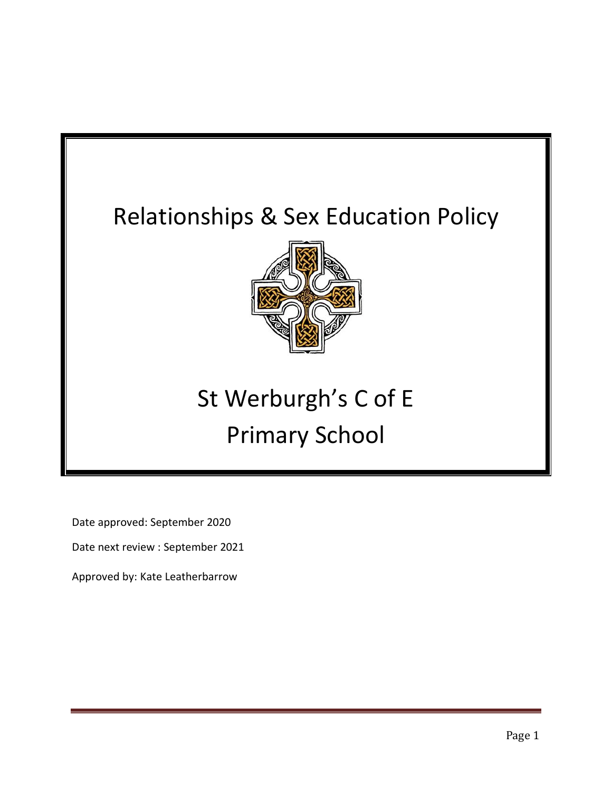## Relationships & Sex Education Policy



# St Werburgh's C of E Primary School

Date approved: September 2020

Date next review : September 2021

Approved by: Kate Leatherbarrow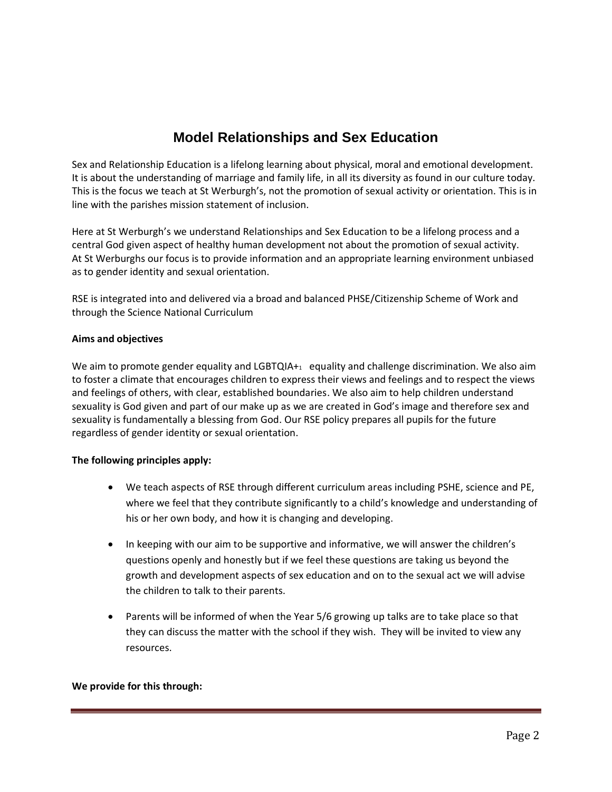### **Model Relationships and Sex Education**

Sex and Relationship Education is a lifelong learning about physical, moral and emotional development. It is about the understanding of marriage and family life, in all its diversity as found in our culture today. This is the focus we teach at St Werburgh's, not the promotion of sexual activity or orientation. This is in line with the parishes mission statement of inclusion.

Here at St Werburgh's we understand Relationships and Sex Education to be a lifelong process and a central God given aspect of healthy human development not about the promotion of sexual activity. At St Werburghs our focus is to provide information and an appropriate learning environment unbiased as to gender identity and sexual orientation.

RSE is integrated into and delivered via a broad and balanced PHSE/Citizenship Scheme of Work and through the Science National Curriculum

#### **Aims and objectives**

We aim to promote gender equality and LGBTQIA+ $_1$  equality and challenge discrimination. We also aim to foster a climate that encourages children to express their views and feelings and to respect the views and feelings of others, with clear, established boundaries. We also aim to help children understand sexuality is God given and part of our make up as we are created in God's image and therefore sex and sexuality is fundamentally a blessing from God. Our RSE policy prepares all pupils for the future regardless of gender identity or sexual orientation.

#### **The following principles apply:**

- We teach aspects of RSE through different curriculum areas including PSHE, science and PE, where we feel that they contribute significantly to a child's knowledge and understanding of his or her own body, and how it is changing and developing.
- In keeping with our aim to be supportive and informative, we will answer the children's questions openly and honestly but if we feel these questions are taking us beyond the growth and development aspects of sex education and on to the sexual act we will advise the children to talk to their parents.
- Parents will be informed of when the Year 5/6 growing up talks are to take place so that they can discuss the matter with the school if they wish. They will be invited to view any resources.

#### **We provide for this through:**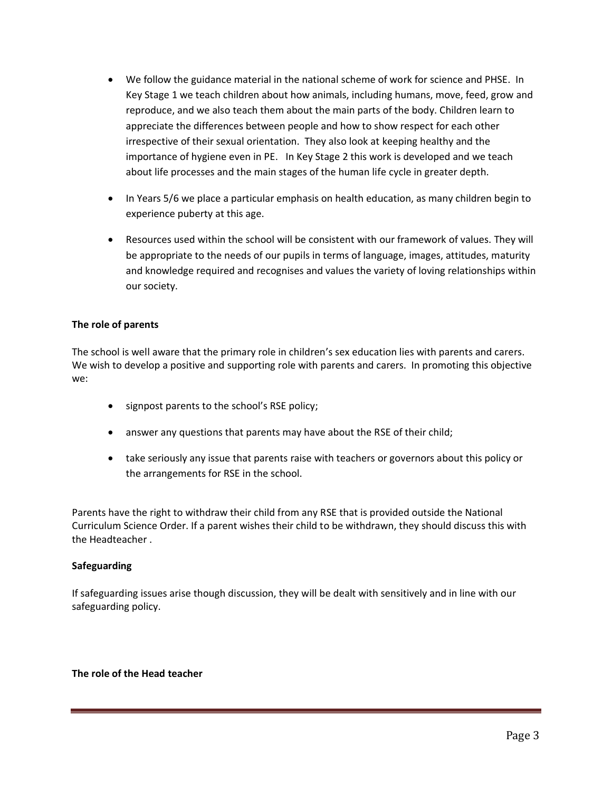- We follow the guidance material in the national scheme of work for science and PHSE. In Key Stage 1 we teach children about how animals, including humans, move, feed, grow and reproduce, and we also teach them about the main parts of the body. Children learn to appreciate the differences between people and how to show respect for each other irrespective of their sexual orientation. They also look at keeping healthy and the importance of hygiene even in PE. In Key Stage 2 this work is developed and we teach about life processes and the main stages of the human life cycle in greater depth.
- In Years 5/6 we place a particular emphasis on health education, as many children begin to experience puberty at this age.
- Resources used within the school will be consistent with our framework of values. They will be appropriate to the needs of our pupils in terms of language, images, attitudes, maturity and knowledge required and recognises and values the variety of loving relationships within our society.

#### **The role of parents**

The school is well aware that the primary role in children's sex education lies with parents and carers. We wish to develop a positive and supporting role with parents and carers. In promoting this objective we:

- signpost parents to the school's RSE policy;
- answer any questions that parents may have about the RSE of their child;
- take seriously any issue that parents raise with teachers or governors about this policy or the arrangements for RSE in the school.

Parents have the right to withdraw their child from any RSE that is provided outside the National Curriculum Science Order. If a parent wishes their child to be withdrawn, they should discuss this with the Headteacher .

#### **Safeguarding**

If safeguarding issues arise though discussion, they will be dealt with sensitively and in line with our safeguarding policy.

#### **The role of the Head teacher**